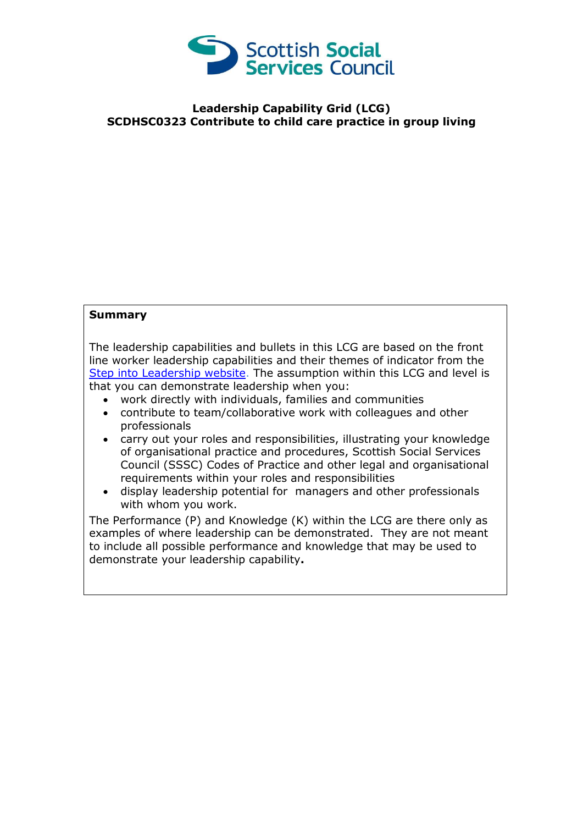

## **Leadership Capability Grid (LCG) SCDHSC0323 Contribute to child care practice in group living**

## **Summary**

The leadership capabilities and bullets in this LCG are based on the front line worker leadership capabilities and their themes of indicator from the [Step into Leadership website.](http://www.stepintoleadership.info/) The assumption within this LCG and level is that you can demonstrate leadership when you:

- work directly with individuals, families and communities
- contribute to team/collaborative work with colleagues and other professionals
- carry out your roles and responsibilities, illustrating your knowledge of organisational practice and procedures, Scottish Social Services Council (SSSC) Codes of Practice and other legal and organisational requirements within your roles and responsibilities
- display leadership potential for managers and other professionals with whom you work.

The Performance (P) and Knowledge (K) within the LCG are there only as examples of where leadership can be demonstrated. They are not meant to include all possible performance and knowledge that may be used to demonstrate your leadership capability**.**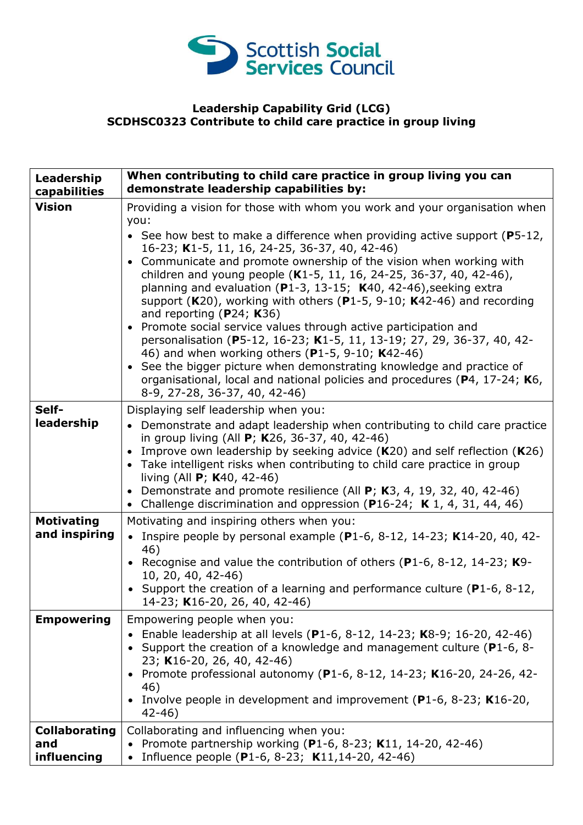

## **Leadership Capability Grid (LCG) SCDHSC0323 Contribute to child care practice in group living**

| Leadership<br>capabilities                 | When contributing to child care practice in group living you can<br>demonstrate leadership capabilities by:                                                                                                                                                                                                                                                                                                                                                                                                                                                                                                                                                                                                                                                                                                                                                                                                                                  |
|--------------------------------------------|----------------------------------------------------------------------------------------------------------------------------------------------------------------------------------------------------------------------------------------------------------------------------------------------------------------------------------------------------------------------------------------------------------------------------------------------------------------------------------------------------------------------------------------------------------------------------------------------------------------------------------------------------------------------------------------------------------------------------------------------------------------------------------------------------------------------------------------------------------------------------------------------------------------------------------------------|
| <b>Vision</b>                              | Providing a vision for those with whom you work and your organisation when<br>you:<br>• See how best to make a difference when providing active support ( $P5-12$ ,<br>16-23; K1-5, 11, 16, 24-25, 36-37, 40, 42-46)<br>• Communicate and promote ownership of the vision when working with<br>children and young people (K1-5, 11, 16, 24-25, 36-37, 40, 42-46),<br>planning and evaluation ( $P1-3$ , 13-15; K40, 42-46), seeking extra<br>support (K20), working with others (P1-5, 9-10; K42-46) and recording<br>and reporting ( $P24$ ; K36)<br>• Promote social service values through active participation and<br>personalisation (P5-12, 16-23; K1-5, 11, 13-19; 27, 29, 36-37, 40, 42-<br>46) and when working others (P1-5, 9-10; K42-46)<br>• See the bigger picture when demonstrating knowledge and practice of<br>organisational, local and national policies and procedures (P4, 17-24; K6,<br>8-9, 27-28, 36-37, 40, 42-46) |
| Self-<br>leadership                        | Displaying self leadership when you:<br>• Demonstrate and adapt leadership when contributing to child care practice<br>in group living (All <b>P</b> ; <b>K</b> 26, 36-37, 40, 42-46)<br>• Improve own leadership by seeking advice $(K20)$ and self reflection $(K26)$<br>• Take intelligent risks when contributing to child care practice in group<br>living (All P; K40, 42-46)<br>• Demonstrate and promote resilience (All $P$ ; K3, 4, 19, 32, 40, 42-46)<br>• Challenge discrimination and oppression (P16-24; K 1, 4, 31, 44, 46)                                                                                                                                                                                                                                                                                                                                                                                                   |
| <b>Motivating</b><br>and inspiring         | Motivating and inspiring others when you:<br>• Inspire people by personal example (P1-6, 8-12, 14-23; K14-20, 40, 42-<br>46)<br>• Recognise and value the contribution of others (P1-6, 8-12, 14-23; $K9-$<br>10, 20, 40, 42-46)<br>• Support the creation of a learning and performance culture ( $P1-6$ , 8-12,<br>14-23; K16-20, 26, 40, 42-46)                                                                                                                                                                                                                                                                                                                                                                                                                                                                                                                                                                                           |
| <b>Empowering</b>                          | Empowering people when you:<br>Enable leadership at all levels (P1-6, 8-12, 14-23; K8-9; 16-20, 42-46)<br>• Support the creation of a knowledge and management culture ( $P1-6$ , 8-<br>23; K16-20, 26, 40, 42-46)<br>• Promote professional autonomy (P1-6, 8-12, 14-23; K16-20, 24-26, 42-<br>46)<br>• Involve people in development and improvement (P1-6, 8-23; K16-20,<br>$42 - 46$                                                                                                                                                                                                                                                                                                                                                                                                                                                                                                                                                     |
| <b>Collaborating</b><br>and<br>influencing | Collaborating and influencing when you:<br>Promote partnership working (P1-6, 8-23; K11, 14-20, 42-46)<br>Influence people (P1-6, 8-23; K11, 14-20, 42-46)                                                                                                                                                                                                                                                                                                                                                                                                                                                                                                                                                                                                                                                                                                                                                                                   |